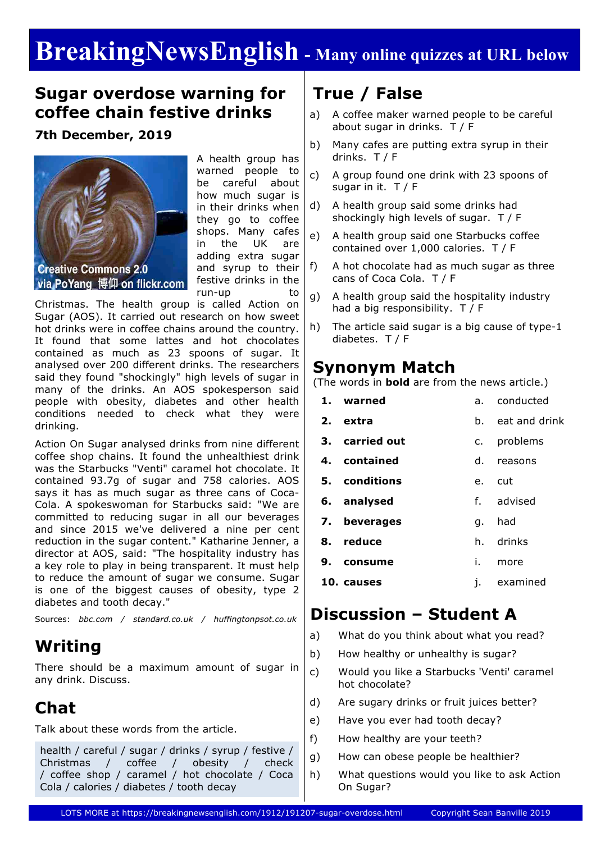# **BreakingNewsEnglish - Many online quizzes at URL below**

### **Sugar overdose warning for coffee chain festive drinks**

### **7th December, 2019**



A health group has warned people to be careful about how much sugar is in their drinks when they go to coffee shops. Many cafes in the UK are adding extra sugar and syrup to their festive drinks in the run-up to

Christmas. The health group is called Action on Sugar (AOS). It carried out research on how sweet hot drinks were in coffee chains around the country. It found that some lattes and hot chocolates contained as much as 23 spoons of sugar. It analysed over 200 different drinks. The researchers said they found "shockingly" high levels of sugar in many of the drinks. An AOS spokesperson said people with obesity, diabetes and other health conditions needed to check what they were drinking.

Action On Sugar analysed drinks from nine different coffee shop chains. It found the unhealthiest drink was the Starbucks "Venti" caramel hot chocolate. It contained 93.7g of sugar and 758 calories. AOS says it has as much sugar as three cans of Coca-Cola. A spokeswoman for Starbucks said: "We are committed to reducing sugar in all our beverages and since 2015 we've delivered a nine per cent reduction in the sugar content." Katharine Jenner, a director at AOS, said: "The hospitality industry has a key role to play in being transparent. It must help to reduce the amount of sugar we consume. Sugar is one of the biggest causes of obesity, type 2 diabetes and tooth decay."

Sources: *bbc.com / standard.co.uk / huffingtonpsot.co.uk*

## **Writing**

There should be a maximum amount of sugar in any drink. Discuss.

# **Chat**

Talk about these words from the article.

health / careful / sugar / drinks / syrup / festive / Christmas / coffee / obesity / check / coffee shop / caramel / hot chocolate / Coca Cola / calories / diabetes / tooth decay

# **True / False**

- a) A coffee maker warned people to be careful about sugar in drinks. T / F
- b) Many cafes are putting extra syrup in their drinks. T / F
- c) A group found one drink with 23 spoons of sugar in it. T / F
- d) A health group said some drinks had shockingly high levels of sugar. T / F
- e) A health group said one Starbucks coffee contained over 1,000 calories. T / F
- f) A hot chocolate had as much sugar as three cans of Coca Cola. T / F
- g) A health group said the hospitality industry had a big responsibility. T / F
- h) The article said sugar is a big cause of type-1 diabetes. T / F

### **Synonym Match**

(The words in **bold** are from the news article.)

|    | 1. warned      |    | a. conducted  |  |
|----|----------------|----|---------------|--|
|    | 2. extra       | h. | eat and drink |  |
|    | 3. carried out | C. | problems      |  |
|    | 4. contained   |    | d. reasons    |  |
|    | 5. conditions  |    | e. cut        |  |
|    | 6. analysed    |    | f. advised    |  |
|    | 7. beverages   | q. | had           |  |
|    | 8. reduce      |    | h. drinks     |  |
| 9. | consume        | i. | more          |  |
|    | 10. causes     | i. | examined      |  |

## **Discussion – Student A**

- a) What do you think about what you read?
- b) How healthy or unhealthy is sugar?
- c) Would you like a Starbucks 'Venti' caramel hot chocolate?
- d) Are sugary drinks or fruit juices better?
- e) Have you ever had tooth decay?
- f) How healthy are your teeth?
- g) How can obese people be healthier?
- h) What questions would you like to ask Action On Sugar?